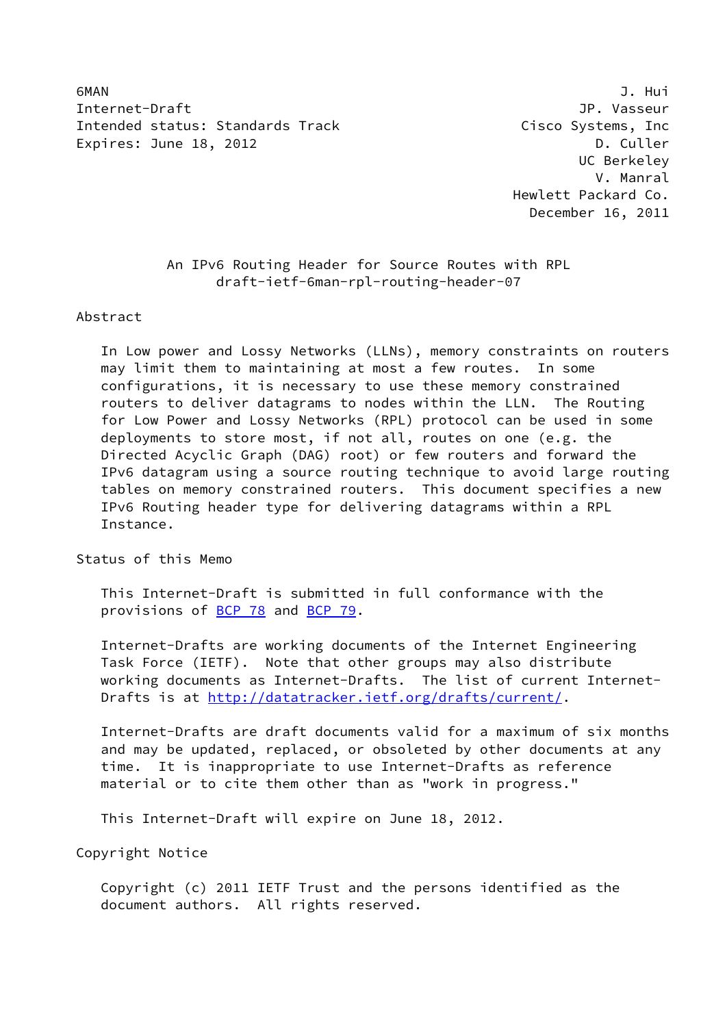6MAN J. Hui Internet-Draft JP. Vasseur Intended status: Standards Track and Cisco Systems, Inc. Expires: June 18, 2012 **D. Culler** 

 UC Berkeley V. Manral Hewlett Packard Co. December 16, 2011

 An IPv6 Routing Header for Source Routes with RPL draft-ietf-6man-rpl-routing-header-07

Abstract

 In Low power and Lossy Networks (LLNs), memory constraints on routers may limit them to maintaining at most a few routes. In some configurations, it is necessary to use these memory constrained routers to deliver datagrams to nodes within the LLN. The Routing for Low Power and Lossy Networks (RPL) protocol can be used in some deployments to store most, if not all, routes on one (e.g. the Directed Acyclic Graph (DAG) root) or few routers and forward the IPv6 datagram using a source routing technique to avoid large routing tables on memory constrained routers. This document specifies a new IPv6 Routing header type for delivering datagrams within a RPL Instance.

Status of this Memo

 This Internet-Draft is submitted in full conformance with the provisions of [BCP 78](https://datatracker.ietf.org/doc/pdf/bcp78) and [BCP 79](https://datatracker.ietf.org/doc/pdf/bcp79).

 Internet-Drafts are working documents of the Internet Engineering Task Force (IETF). Note that other groups may also distribute working documents as Internet-Drafts. The list of current Internet- Drafts is at<http://datatracker.ietf.org/drafts/current/>.

 Internet-Drafts are draft documents valid for a maximum of six months and may be updated, replaced, or obsoleted by other documents at any time. It is inappropriate to use Internet-Drafts as reference material or to cite them other than as "work in progress."

This Internet-Draft will expire on June 18, 2012.

Copyright Notice

 Copyright (c) 2011 IETF Trust and the persons identified as the document authors. All rights reserved.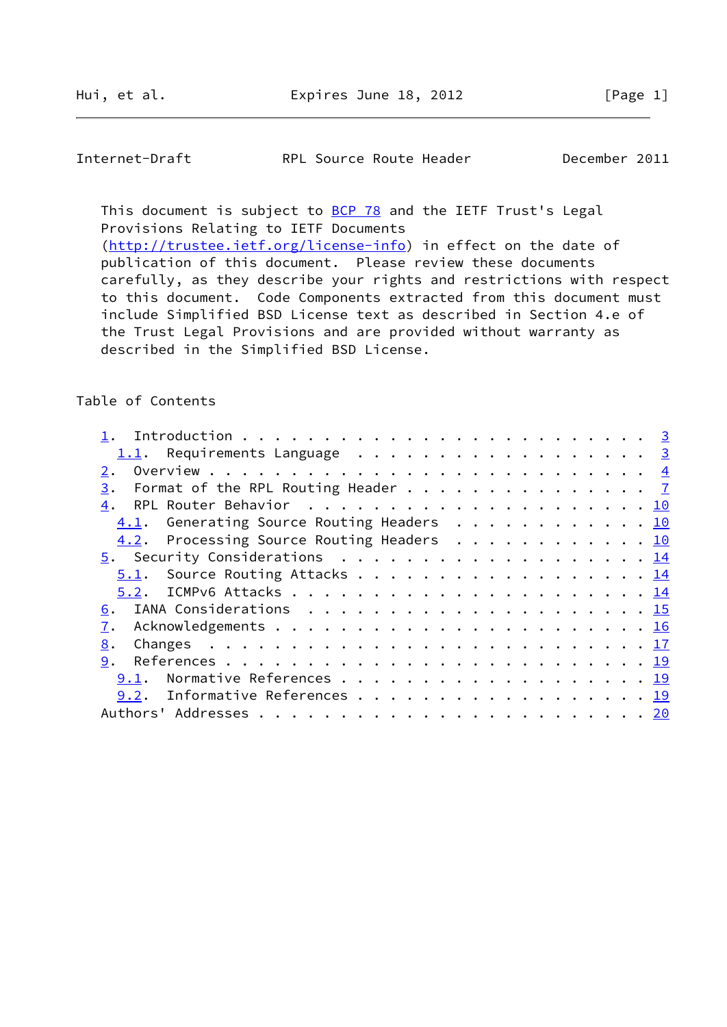This document is subject to **[BCP 78](https://datatracker.ietf.org/doc/pdf/bcp78)** and the IETF Trust's Legal Provisions Relating to IETF Documents [\(http://trustee.ietf.org/license-info](http://trustee.ietf.org/license-info)) in effect on the date of publication of this document. Please review these documents carefully, as they describe your rights and restrictions with respect

 to this document. Code Components extracted from this document must include Simplified BSD License text as described in Section 4.e of the Trust Legal Provisions and are provided without warranty as described in the Simplified BSD License.

## Table of Contents

| 1.1. Requirements Language 3                         |  |
|------------------------------------------------------|--|
| 2.                                                   |  |
| Format of the RPL Routing Header $\frac{7}{2}$<br>3. |  |
|                                                      |  |
| 4.1. Generating Source Routing Headers 10            |  |
| 4.2. Processing Source Routing Headers 10            |  |
| 5. Security Considerations 14                        |  |
| 5.1. Source Routing Attacks 14                       |  |
|                                                      |  |
|                                                      |  |
|                                                      |  |
| 8.                                                   |  |
| 9.                                                   |  |
| <u>9.1</u> . Normative References 19                 |  |
| 9.2. Informative References 19                       |  |
|                                                      |  |
|                                                      |  |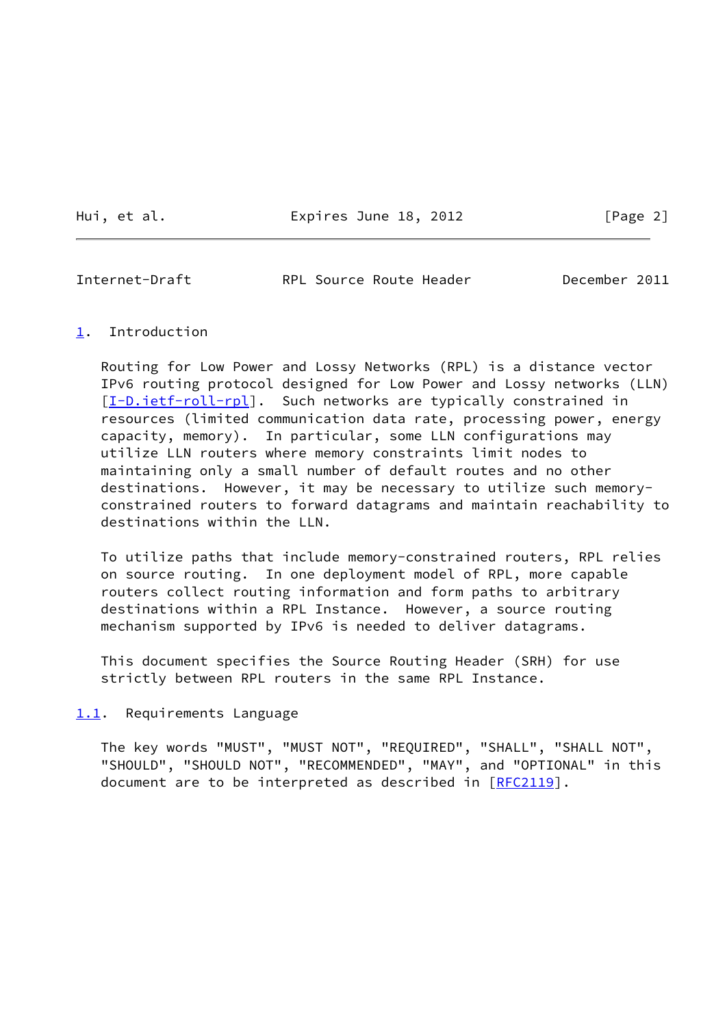Hui, et al. **Expires June 18, 2012** [Page 2]

<span id="page-2-1"></span>Internet-Draft RPL Source Route Header December 2011

### <span id="page-2-0"></span>[1](#page-2-0). Introduction

 Routing for Low Power and Lossy Networks (RPL) is a distance vector IPv6 routing protocol designed for Low Power and Lossy networks (LLN) [\[I-D.ietf-roll-rpl](#page-20-4)]. Such networks are typically constrained in resources (limited communication data rate, processing power, energy capacity, memory). In particular, some LLN configurations may utilize LLN routers where memory constraints limit nodes to maintaining only a small number of default routes and no other destinations. However, it may be necessary to utilize such memory constrained routers to forward datagrams and maintain reachability to destinations within the LLN.

 To utilize paths that include memory-constrained routers, RPL relies on source routing. In one deployment model of RPL, more capable routers collect routing information and form paths to arbitrary destinations within a RPL Instance. However, a source routing mechanism supported by IPv6 is needed to deliver datagrams.

 This document specifies the Source Routing Header (SRH) for use strictly between RPL routers in the same RPL Instance.

## <span id="page-2-2"></span>[1.1](#page-2-2). Requirements Language

 The key words "MUST", "MUST NOT", "REQUIRED", "SHALL", "SHALL NOT", "SHOULD", "SHOULD NOT", "RECOMMENDED", "MAY", and "OPTIONAL" in this document are to be interpreted as described in [\[RFC2119](https://datatracker.ietf.org/doc/pdf/rfc2119)].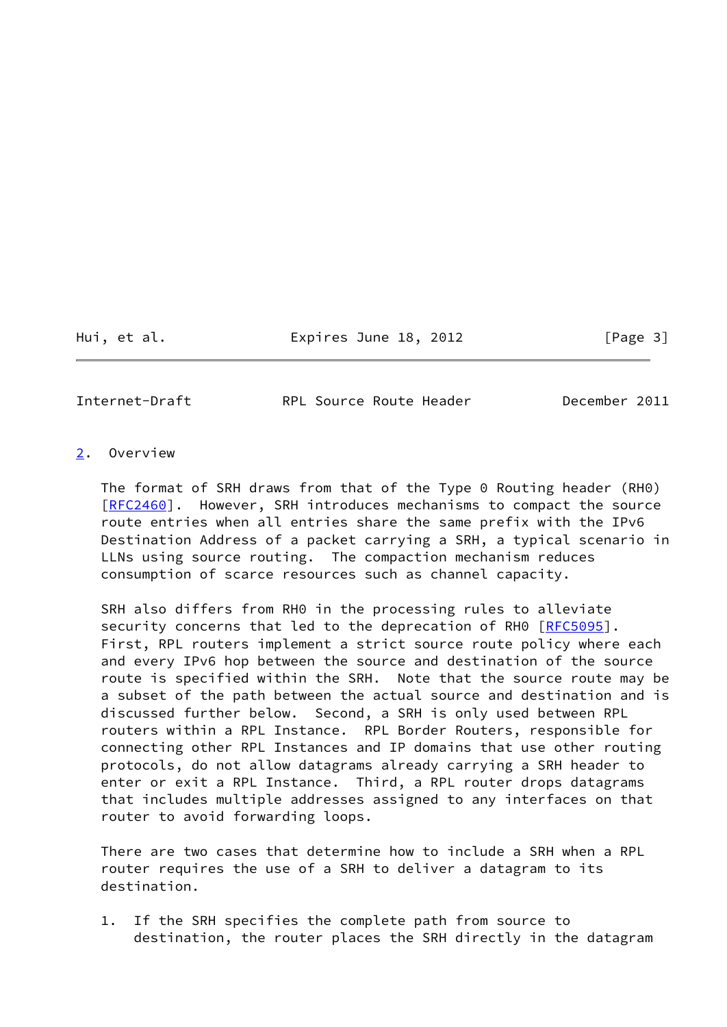Hui, et al. Expires June 18, 2012 [Page 3]

<span id="page-3-1"></span>

Internet-Draft RPL Source Route Header December 2011

## <span id="page-3-0"></span>[2](#page-3-0). Overview

 The format of SRH draws from that of the Type 0 Routing header (RH0) [\[RFC2460](https://datatracker.ietf.org/doc/pdf/rfc2460)]. However, SRH introduces mechanisms to compact the source route entries when all entries share the same prefix with the IPv6 Destination Address of a packet carrying a SRH, a typical scenario in LLNs using source routing. The compaction mechanism reduces consumption of scarce resources such as channel capacity.

 SRH also differs from RH0 in the processing rules to alleviate security concerns that led to the deprecation of RH0 [\[RFC5095](https://datatracker.ietf.org/doc/pdf/rfc5095)]. First, RPL routers implement a strict source route policy where each and every IPv6 hop between the source and destination of the source route is specified within the SRH. Note that the source route may be a subset of the path between the actual source and destination and is discussed further below. Second, a SRH is only used between RPL routers within a RPL Instance. RPL Border Routers, responsible for connecting other RPL Instances and IP domains that use other routing protocols, do not allow datagrams already carrying a SRH header to enter or exit a RPL Instance. Third, a RPL router drops datagrams that includes multiple addresses assigned to any interfaces on that router to avoid forwarding loops.

 There are two cases that determine how to include a SRH when a RPL router requires the use of a SRH to deliver a datagram to its destination.

 1. If the SRH specifies the complete path from source to destination, the router places the SRH directly in the datagram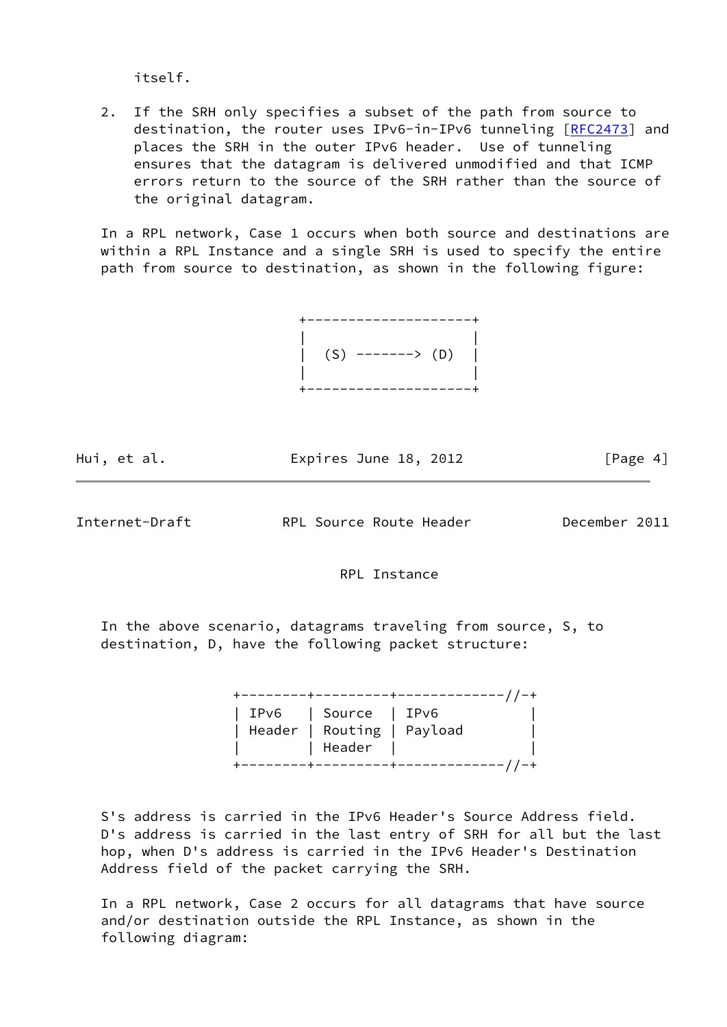itself.

 2. If the SRH only specifies a subset of the path from source to destination, the router uses IPv6-in-IPv6 tunneling [\[RFC2473](https://datatracker.ietf.org/doc/pdf/rfc2473)] and places the SRH in the outer IPv6 header. Use of tunneling ensures that the datagram is delivered unmodified and that ICMP errors return to the source of the SRH rather than the source of the original datagram.

 In a RPL network, Case 1 occurs when both source and destinations are within a RPL Instance and a single SRH is used to specify the entire path from source to destination, as shown in the following figure:



| Hui, et al. | Expires June 18, 2012 |  | [Page 4] |
|-------------|-----------------------|--|----------|
|             |                       |  |          |

Internet-Draft RPL Source Route Header December 2011

RPL Instance

 In the above scenario, datagrams traveling from source, S, to destination, D, have the following packet structure:

 +--------+---------+-------------//-+ | IPv6 | Source | IPv6 | | Header | Routing | Payload | | | Header | | +--------+---------+-------------//-+

 S's address is carried in the IPv6 Header's Source Address field. D's address is carried in the last entry of SRH for all but the last hop, when D's address is carried in the IPv6 Header's Destination Address field of the packet carrying the SRH.

 In a RPL network, Case 2 occurs for all datagrams that have source and/or destination outside the RPL Instance, as shown in the following diagram: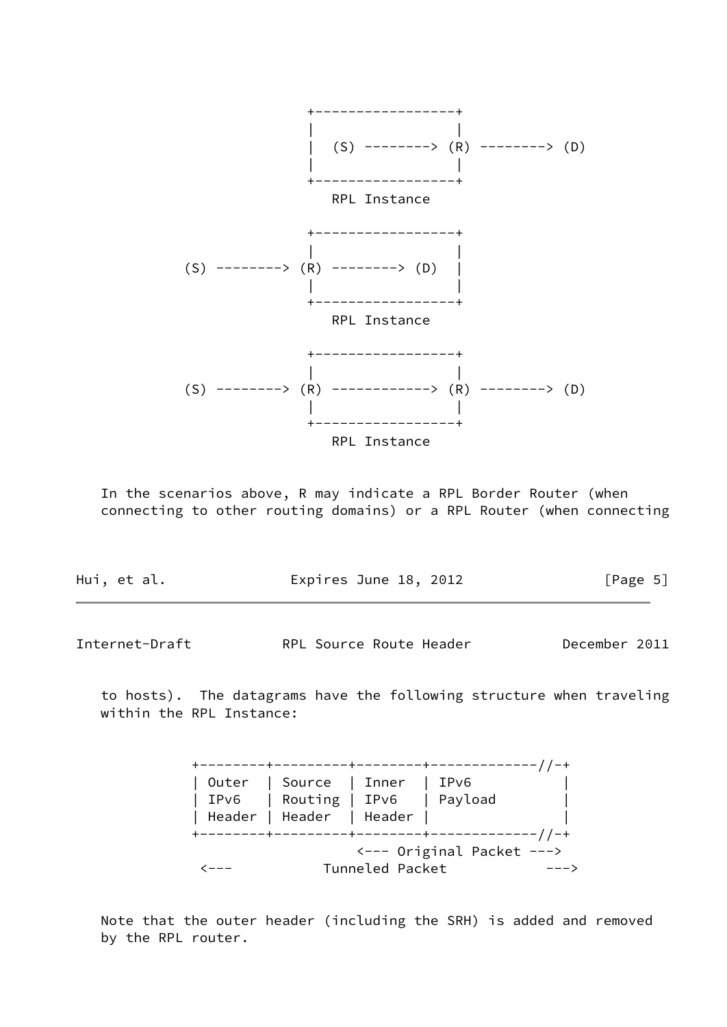

 In the scenarios above, R may indicate a RPL Border Router (when connecting to other routing domains) or a RPL Router (when connecting

| Hui, et al. | Expires June 18, 2012 | [Page 5] |
|-------------|-----------------------|----------|
|             |                       |          |

Internet-Draft RPL Source Route Header December 2011

 to hosts). The datagrams have the following structure when traveling within the RPL Instance:

|  | Outer   Source   Inner<br>IPv6   Routing   IPv6   Payload<br>  Header   Header   Header |                 | l IPv6                                |  |
|--|-----------------------------------------------------------------------------------------|-----------------|---------------------------------------|--|
|  |                                                                                         | Tunneled Packet | $\leftarrow$ --- Original Packet ---> |  |

 Note that the outer header (including the SRH) is added and removed by the RPL router.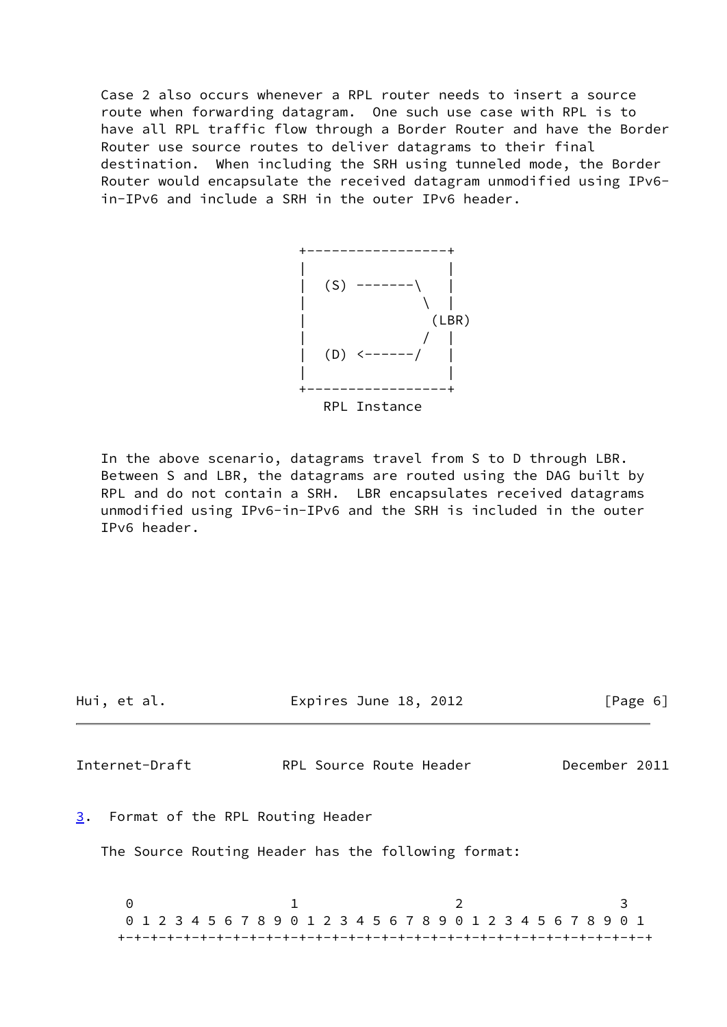Case 2 also occurs whenever a RPL router needs to insert a source route when forwarding datagram. One such use case with RPL is to have all RPL traffic flow through a Border Router and have the Border Router use source routes to deliver datagrams to their final destination. When including the SRH using tunneled mode, the Border Router would encapsulate the received datagram unmodified using IPv6 in-IPv6 and include a SRH in the outer IPv6 header.



 In the above scenario, datagrams travel from S to D through LBR. Between S and LBR, the datagrams are routed using the DAG built by RPL and do not contain a SRH. LBR encapsulates received datagrams unmodified using IPv6-in-IPv6 and the SRH is included in the outer IPv6 header.

<span id="page-6-1"></span><span id="page-6-0"></span>

| Hui, et al.                         | Expires June 18, 2012                                           | [Page 6]      |
|-------------------------------------|-----------------------------------------------------------------|---------------|
| Internet-Draft                      | RPL Source Route Header                                         | December 2011 |
| 3. Format of the RPL Routing Header | The Source Routing Header has the following format:             |               |
| 0                                   | 0 1 2 3 4 5 6 7 8 9 0 1 2 3 4 5 6 7 8 9 0 1 2 3 4 5 6 7 8 9 0 1 | 3             |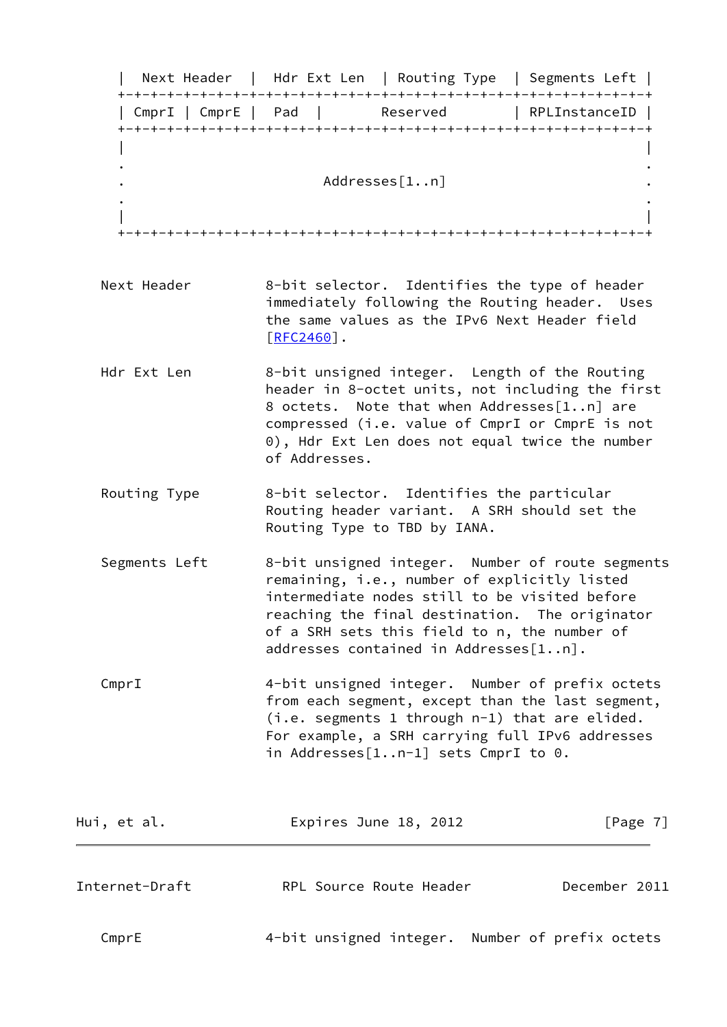| Next Header | Hdr Ext Len | Routing Type | Segments Left | +-+-+-+-+-+-+-+-+-+-+-+-+-+-+-+-+-+-+-+-+-+-+-+-+-+-+-+-+-+-+-+-+ | CmprI | CmprE | Pad | Reserved | RPLInstanceID | +-+-+-+-+-+-+-+-+-+-+-+-+-+-+-+-+-+-+-+-+-+-+-+-+-+-+-+-+-+-+-+-+ | | . . . Addresses[1..n] . . . | | +-+-+-+-+-+-+-+-+-+-+-+-+-+-+-+-+-+-+-+-+-+-+-+-+-+-+-+-+-+-+-+-+ Next Header 8-bit selector. Identifies the type of header immediately following the Routing header. Uses the same values as the IPv6 Next Header field [\[RFC2460](https://datatracker.ietf.org/doc/pdf/rfc2460)]. Hdr Ext Len 8-bit unsigned integer. Length of the Routing header in 8-octet units, not including the first 8 octets. Note that when Addresses[1..n] are compressed (i.e. value of CmprI or CmprE is not 0), Hdr Ext Len does not equal twice the number of Addresses. Routing Type 8-bit selector. Identifies the particular Routing header variant. A SRH should set the Routing Type to TBD by IANA. Segments Left 8-bit unsigned integer. Number of route segments remaining, i.e., number of explicitly listed intermediate nodes still to be visited before reaching the final destination. The originator of a SRH sets this field to n, the number of addresses contained in Addresses[1..n]. CmprI 4-bit unsigned integer. Number of prefix octets from each segment, except than the last segment, (i.e. segments 1 through n-1) that are elided. For example, a SRH carrying full IPv6 addresses in Addresses[1..n-1] sets CmprI to 0. Hui, et al. **Expires June 18, 2012** [Page 7] Internet-Draft RPL Source Route Header December 2011 CmprE 4-bit unsigned integer. Number of prefix octets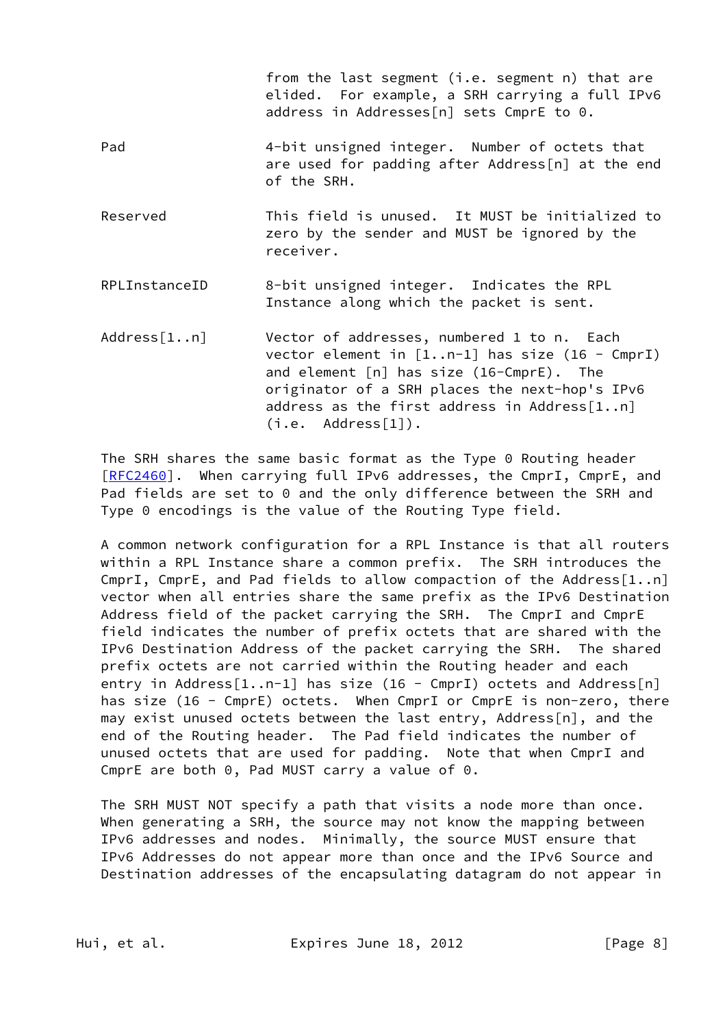|                | from the last segment (i.e. segment n) that are<br>elided. For example, a SRH carrying a full IPv6<br>address in Addresses[n] sets CmprE to 0.                                                                                                                         |
|----------------|------------------------------------------------------------------------------------------------------------------------------------------------------------------------------------------------------------------------------------------------------------------------|
| Pad            | 4-bit unsigned integer. Number of octets that<br>are used for padding after Address[n] at the end<br>of the SRH.                                                                                                                                                       |
| Reserved       | This field is unused. It MUST be initialized to<br>zero by the sender and MUST be ignored by the<br>receiver.                                                                                                                                                          |
| RPLInstanceID  | 8-bit unsigned integer. Indicates the RPL<br>Instance along which the packet is sent.                                                                                                                                                                                  |
| Address $[1n]$ | Vector of addresses, numbered 1 to n. Each<br>vector element in $[1n-1]$ has size (16 - CmprI)<br>and element $[n]$ has size $(16$ -CmprE). The<br>originator of a SRH places the next-hop's IPv6<br>address as the first address in Address[1n]<br>(i.e. Address[1]). |

 The SRH shares the same basic format as the Type 0 Routing header [\[RFC2460](https://datatracker.ietf.org/doc/pdf/rfc2460)]. When carrying full IPv6 addresses, the CmprI, CmprE, and Pad fields are set to 0 and the only difference between the SRH and Type 0 encodings is the value of the Routing Type field.

 A common network configuration for a RPL Instance is that all routers within a RPL Instance share a common prefix. The SRH introduces the CmprI, CmprE, and Pad fields to allow compaction of the Address[1..n] vector when all entries share the same prefix as the IPv6 Destination Address field of the packet carrying the SRH. The CmprI and CmprE field indicates the number of prefix octets that are shared with the IPv6 Destination Address of the packet carrying the SRH. The shared prefix octets are not carried within the Routing header and each entry in Address[1..n-1] has size (16 - CmprI) octets and Address[n] has size (16 - CmprE) octets. When CmprI or CmprE is non-zero, there may exist unused octets between the last entry, Address[n], and the end of the Routing header. The Pad field indicates the number of unused octets that are used for padding. Note that when CmprI and CmprE are both 0, Pad MUST carry a value of 0.

 The SRH MUST NOT specify a path that visits a node more than once. When generating a SRH, the source may not know the mapping between IPv6 addresses and nodes. Minimally, the source MUST ensure that IPv6 Addresses do not appear more than once and the IPv6 Source and Destination addresses of the encapsulating datagram do not appear in

Hui, et al. **Expires June 18, 2012** [Page 8]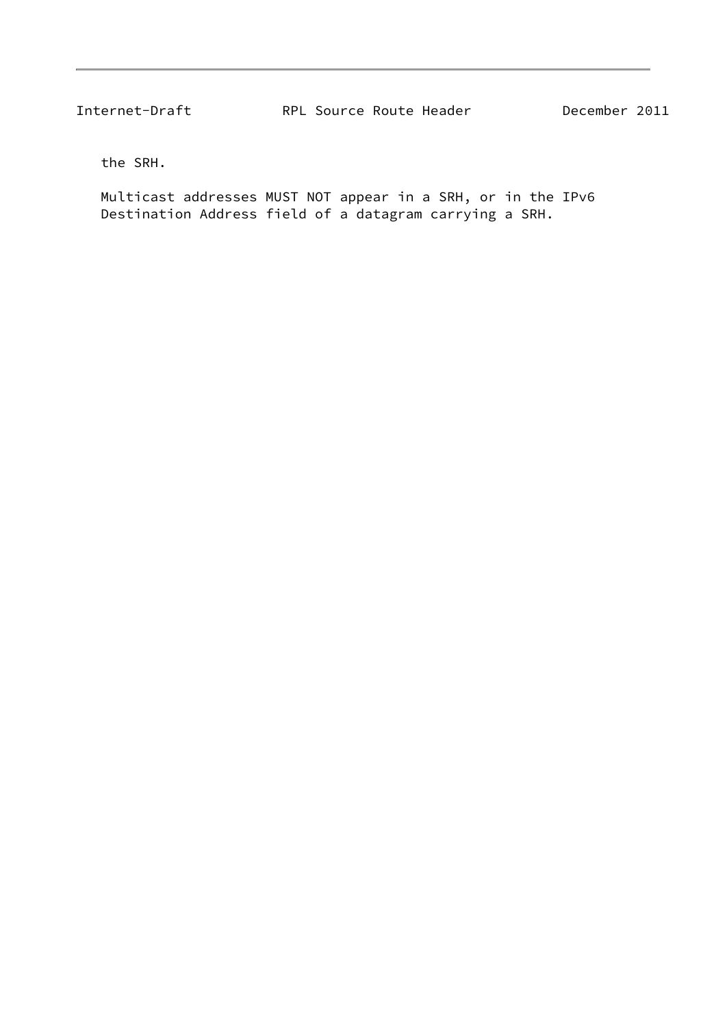the SRH.

 Multicast addresses MUST NOT appear in a SRH, or in the IPv6 Destination Address field of a datagram carrying a SRH.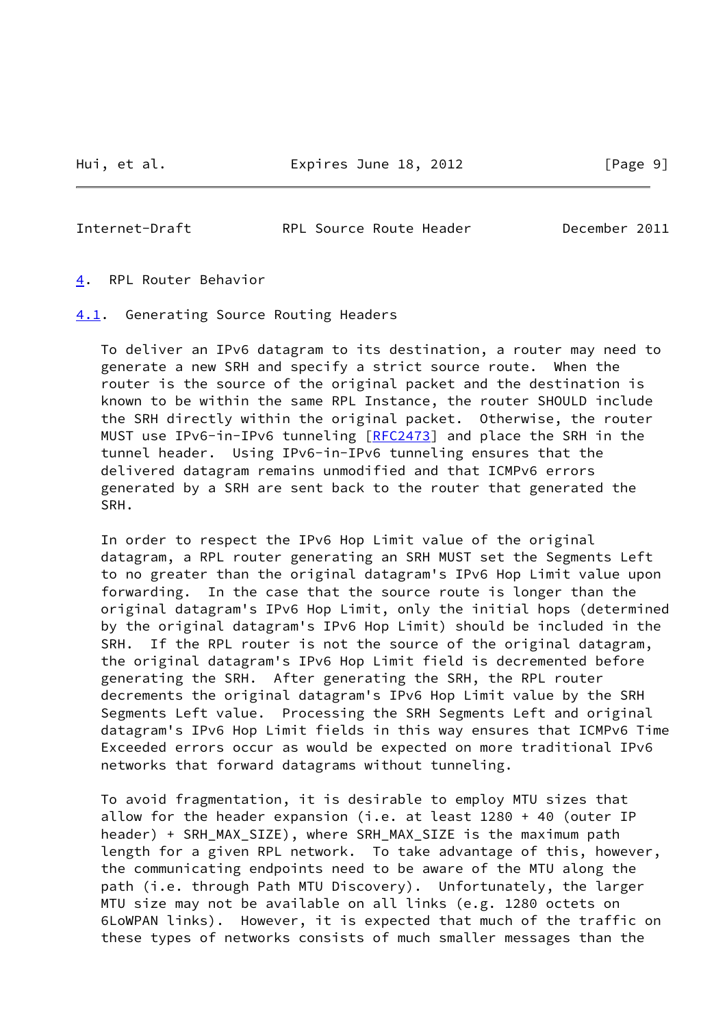<span id="page-10-1"></span>

<span id="page-10-0"></span>[4](#page-10-0). RPL Router Behavior

<span id="page-10-2"></span>[4.1](#page-10-2). Generating Source Routing Headers

 To deliver an IPv6 datagram to its destination, a router may need to generate a new SRH and specify a strict source route. When the router is the source of the original packet and the destination is known to be within the same RPL Instance, the router SHOULD include the SRH directly within the original packet. Otherwise, the router MUST use IPv6-in-IPv6 tunneling [\[RFC2473](https://datatracker.ietf.org/doc/pdf/rfc2473)] and place the SRH in the tunnel header. Using IPv6-in-IPv6 tunneling ensures that the delivered datagram remains unmodified and that ICMPv6 errors generated by a SRH are sent back to the router that generated the SRH.

 In order to respect the IPv6 Hop Limit value of the original datagram, a RPL router generating an SRH MUST set the Segments Left to no greater than the original datagram's IPv6 Hop Limit value upon forwarding. In the case that the source route is longer than the original datagram's IPv6 Hop Limit, only the initial hops (determined by the original datagram's IPv6 Hop Limit) should be included in the SRH. If the RPL router is not the source of the original datagram, the original datagram's IPv6 Hop Limit field is decremented before generating the SRH. After generating the SRH, the RPL router decrements the original datagram's IPv6 Hop Limit value by the SRH Segments Left value. Processing the SRH Segments Left and original datagram's IPv6 Hop Limit fields in this way ensures that ICMPv6 Time Exceeded errors occur as would be expected on more traditional IPv6 networks that forward datagrams without tunneling.

 To avoid fragmentation, it is desirable to employ MTU sizes that allow for the header expansion (i.e. at least 1280 + 40 (outer IP header) + SRH\_MAX\_SIZE), where SRH\_MAX\_SIZE is the maximum path length for a given RPL network. To take advantage of this, however, the communicating endpoints need to be aware of the MTU along the path (i.e. through Path MTU Discovery). Unfortunately, the larger MTU size may not be available on all links (e.g. 1280 octets on 6LoWPAN links). However, it is expected that much of the traffic on these types of networks consists of much smaller messages than the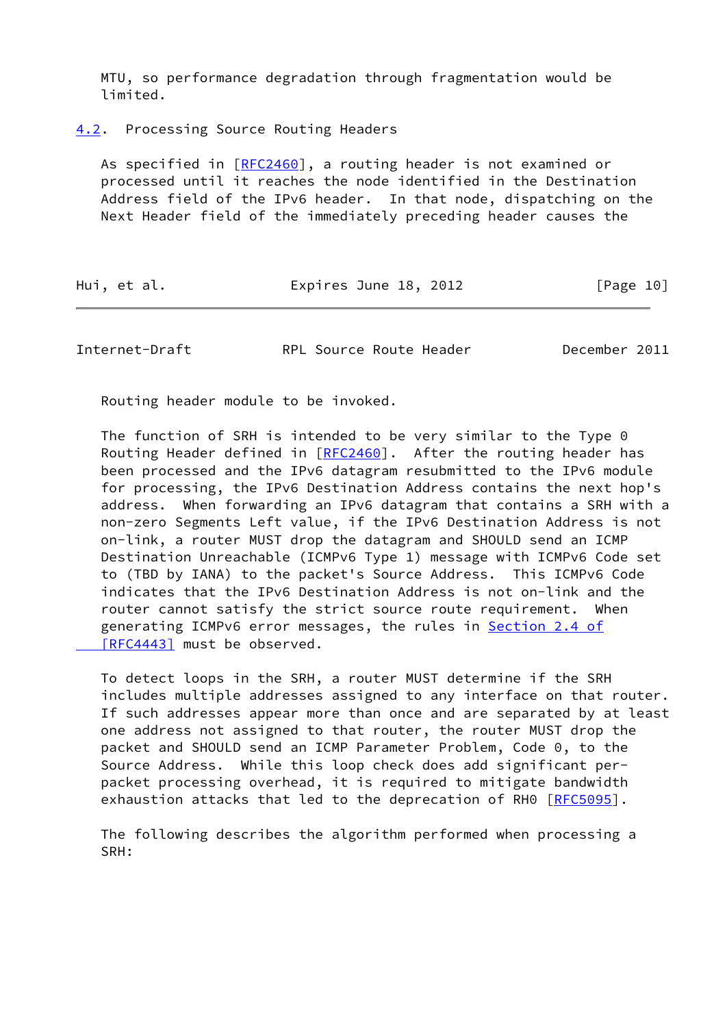MTU, so performance degradation through fragmentation would be limited.

<span id="page-11-0"></span>[4.2](#page-11-0). Processing Source Routing Headers

 As specified in [\[RFC2460](https://datatracker.ietf.org/doc/pdf/rfc2460)], a routing header is not examined or processed until it reaches the node identified in the Destination Address field of the IPv6 header. In that node, dispatching on the Next Header field of the immediately preceding header causes the

| Hui, et al. | Expires June 18, 2012 | [Page 10] |
|-------------|-----------------------|-----------|
|-------------|-----------------------|-----------|

Internet-Draft RPL Source Route Header December 2011

Routing header module to be invoked.

 The function of SRH is intended to be very similar to the Type 0 Routing Header defined in  $[REC2460]$ . After the routing header has been processed and the IPv6 datagram resubmitted to the IPv6 module for processing, the IPv6 Destination Address contains the next hop's address. When forwarding an IPv6 datagram that contains a SRH with a non-zero Segments Left value, if the IPv6 Destination Address is not on-link, a router MUST drop the datagram and SHOULD send an ICMP Destination Unreachable (ICMPv6 Type 1) message with ICMPv6 Code set to (TBD by IANA) to the packet's Source Address. This ICMPv6 Code indicates that the IPv6 Destination Address is not on-link and the router cannot satisfy the strict source route requirement. When generating ICMPv6 error messages, the rules in **[Section](https://datatracker.ietf.org/doc/pdf/rfc4443#section-2.4) 2.4 of**  [\[RFC4443\]](https://datatracker.ietf.org/doc/pdf/rfc4443#section-2.4) must be observed.

 To detect loops in the SRH, a router MUST determine if the SRH includes multiple addresses assigned to any interface on that router. If such addresses appear more than once and are separated by at least one address not assigned to that router, the router MUST drop the packet and SHOULD send an ICMP Parameter Problem, Code 0, to the Source Address. While this loop check does add significant per packet processing overhead, it is required to mitigate bandwidth exhaustion attacks that led to the deprecation of RH0 [[RFC5095](https://datatracker.ietf.org/doc/pdf/rfc5095)].

 The following describes the algorithm performed when processing a SRH: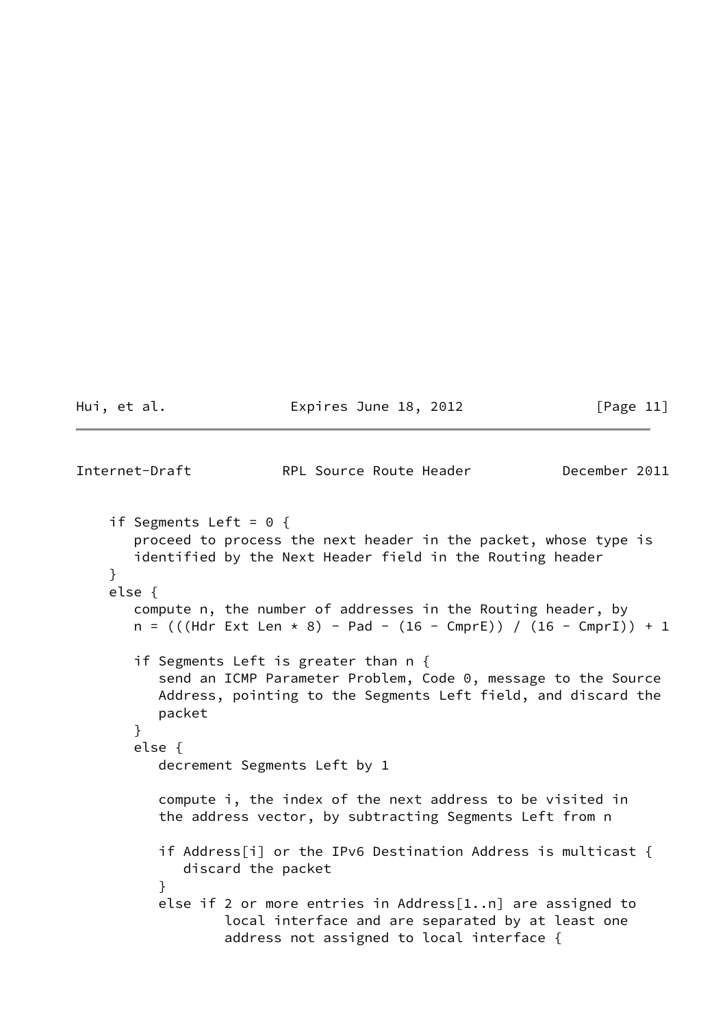Hui, et al. **Expires June 18, 2012** [Page 11]

```
Internet-Draft RPL Source Route Header December 2011
   if Segments Left = 0 \{ proceed to process the next header in the packet, whose type is
      identified by the Next Header field in the Routing header
    }
    else {
      compute n, the number of addresses in the Routing header, by
     n = (((Hdr Ext Len * 8) - Pad - (16 - CmprE)) / (16 - CmprI)) + 1 if Segments Left is greater than n {
          send an ICMP Parameter Problem, Code 0, message to the Source
         Address, pointing to the Segments Left field, and discard the
         packet
      }
      else {
         decrement Segments Left by 1
          compute i, the index of the next address to be visited in
         the address vector, by subtracting Segments Left from n
         if Address[i] or the IPv6 Destination Address is multicast {
            discard the packet
}
         else if 2 or more entries in Address[1..n] are assigned to
                 local interface and are separated by at least one
                  address not assigned to local interface {
```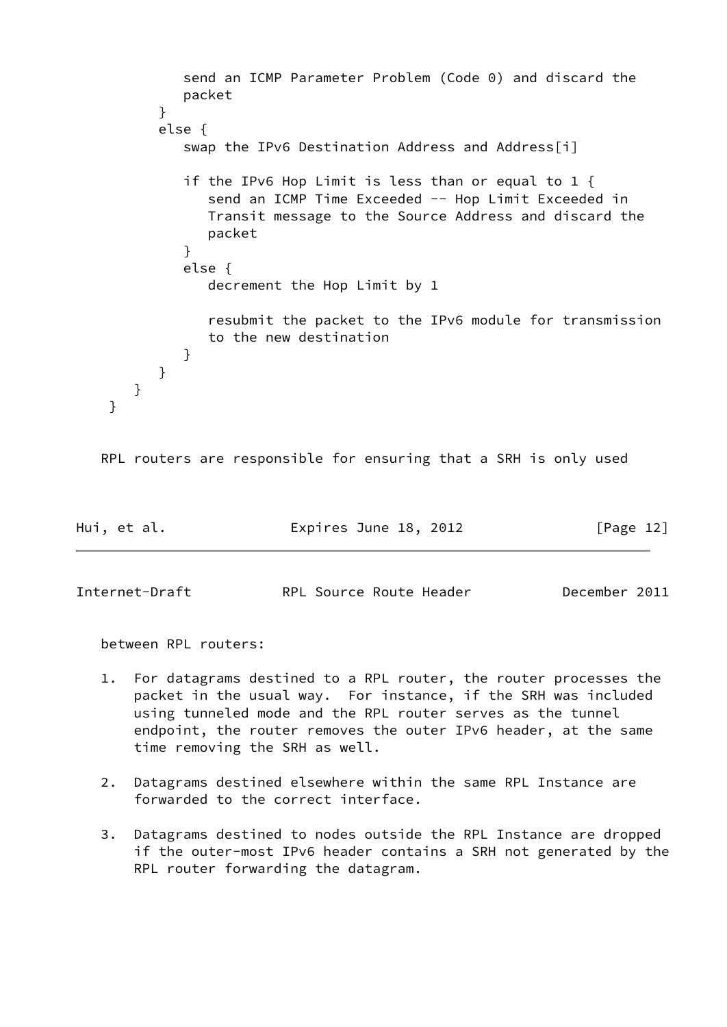```
 send an ICMP Parameter Problem (Code 0) and discard the
            packet
}
         else {
            swap the IPv6 Destination Address and Address[i]
            if the IPv6 Hop Limit is less than or equal to 1 {
              send an ICMP Time Exceeded -- Hop Limit Exceeded in
               Transit message to the Source Address and discard the
               packet
}
            else {
               decrement the Hop Limit by 1
               resubmit the packet to the IPv6 module for transmission
               to the new destination
}
         }
      }
   }
```

```
 RPL routers are responsible for ensuring that a SRH is only used
```

| Hui, et al. | Expires June 18, 2012 | [Page 12] |
|-------------|-----------------------|-----------|
|             |                       |           |

between RPL routers:

- 1. For datagrams destined to a RPL router, the router processes the packet in the usual way. For instance, if the SRH was included using tunneled mode and the RPL router serves as the tunnel endpoint, the router removes the outer IPv6 header, at the same time removing the SRH as well.
- 2. Datagrams destined elsewhere within the same RPL Instance are forwarded to the correct interface.
- 3. Datagrams destined to nodes outside the RPL Instance are dropped if the outer-most IPv6 header contains a SRH not generated by the RPL router forwarding the datagram.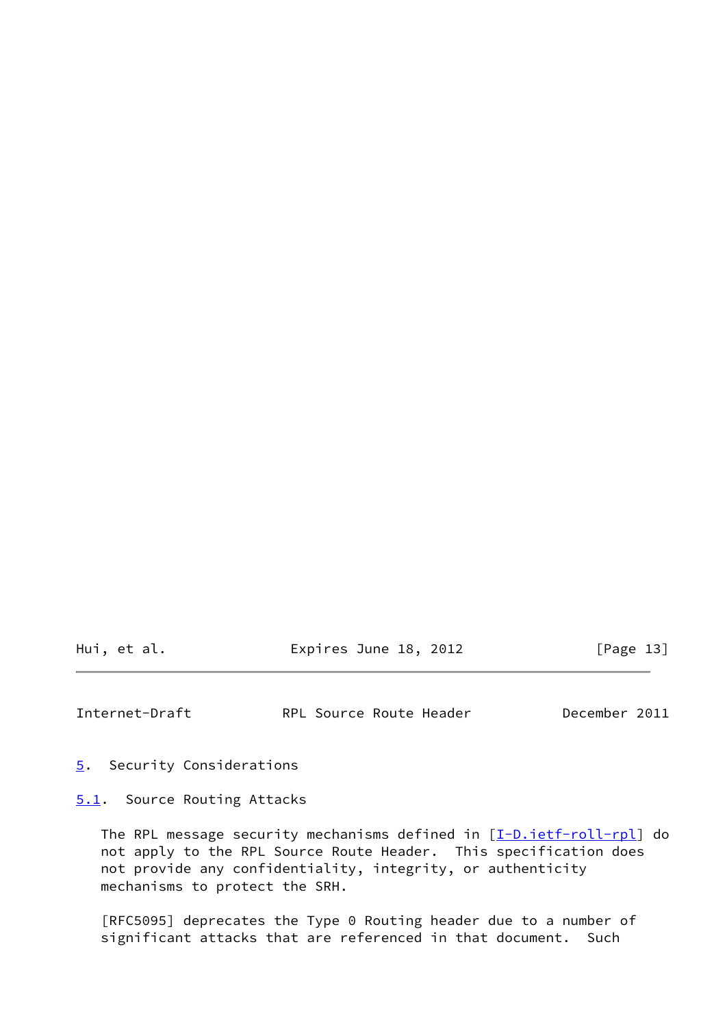Hui, et al. **Expires June 18, 2012** [Page 13]

<span id="page-14-1"></span>Internet-Draft RPL Source Route Header December 2011

<span id="page-14-0"></span>[5](#page-14-0). Security Considerations

<span id="page-14-2"></span>[5.1](#page-14-2). Source Routing Attacks

The RPL message security mechanisms defined in [\[I-D.ietf-roll-rpl](#page-20-4)] do not apply to the RPL Source Route Header. This specification does not provide any confidentiality, integrity, or authenticity mechanisms to protect the SRH.

 [RFC5095] deprecates the Type 0 Routing header due to a number of significant attacks that are referenced in that document. Such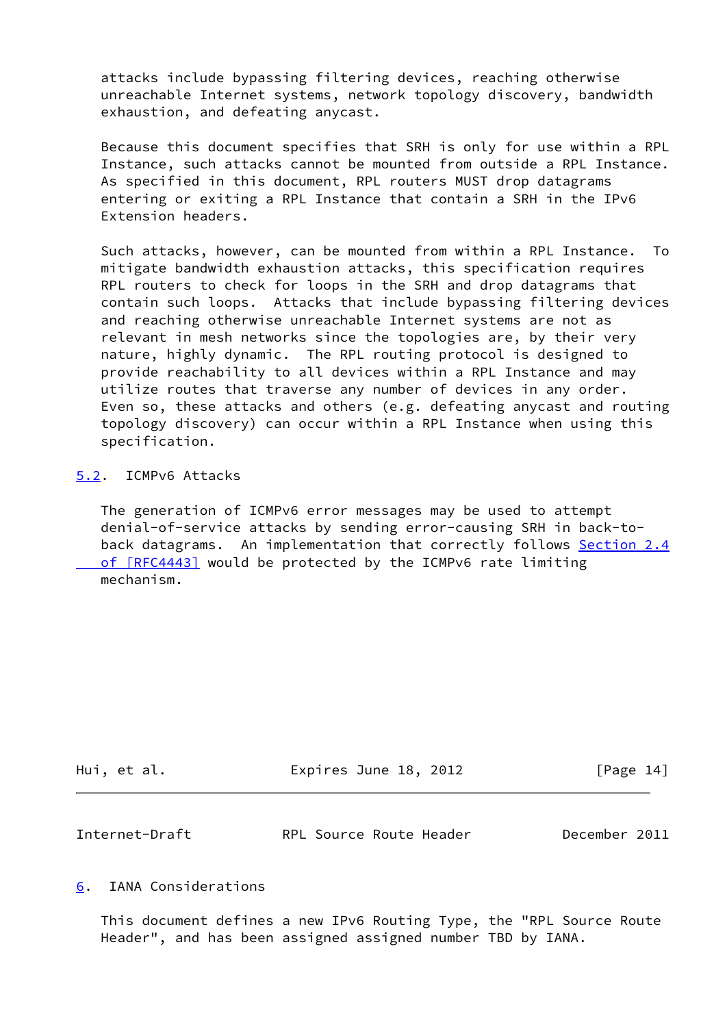attacks include bypassing filtering devices, reaching otherwise unreachable Internet systems, network topology discovery, bandwidth exhaustion, and defeating anycast.

 Because this document specifies that SRH is only for use within a RPL Instance, such attacks cannot be mounted from outside a RPL Instance. As specified in this document, RPL routers MUST drop datagrams entering or exiting a RPL Instance that contain a SRH in the IPv6 Extension headers.

 Such attacks, however, can be mounted from within a RPL Instance. To mitigate bandwidth exhaustion attacks, this specification requires RPL routers to check for loops in the SRH and drop datagrams that contain such loops. Attacks that include bypassing filtering devices and reaching otherwise unreachable Internet systems are not as relevant in mesh networks since the topologies are, by their very nature, highly dynamic. The RPL routing protocol is designed to provide reachability to all devices within a RPL Instance and may utilize routes that traverse any number of devices in any order. Even so, these attacks and others (e.g. defeating anycast and routing topology discovery) can occur within a RPL Instance when using this specification.

### <span id="page-15-0"></span>[5.2](#page-15-0). ICMPv6 Attacks

 The generation of ICMPv6 error messages may be used to attempt denial-of-service attacks by sending error-causing SRH in back-to- back datagrams. An implementation that correctly follows [Section](https://datatracker.ietf.org/doc/pdf/rfc4443#section-2.4) 2.4 of [RFC4443] would be protected by the ICMPv6 rate limiting mechanism.

| Hui, et al. | Expires June 18, 2012 | [Page 14] |
|-------------|-----------------------|-----------|
|             |                       |           |

<span id="page-15-2"></span>

| Internet-Draft | RPL Source Route Header | December 2011 |  |
|----------------|-------------------------|---------------|--|
|                |                         |               |  |

### <span id="page-15-1"></span>[6](#page-15-1). IANA Considerations

 This document defines a new IPv6 Routing Type, the "RPL Source Route Header", and has been assigned assigned number TBD by IANA.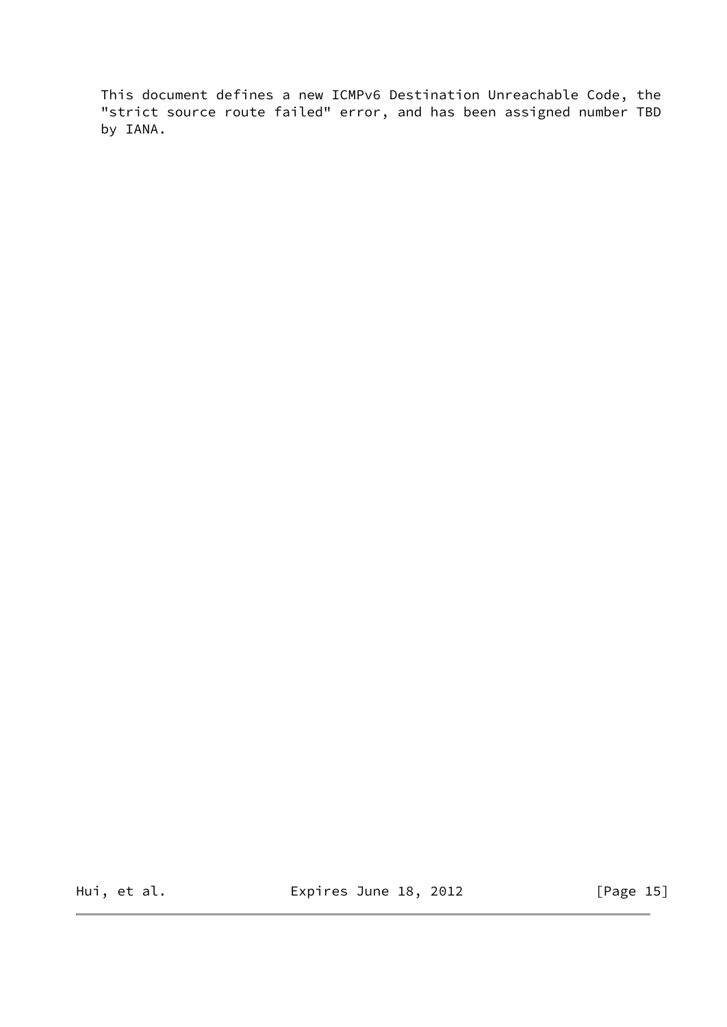This document defines a new ICMPv6 Destination Unreachable Code, the "strict source route failed" error, and has been assigned number TBD by IANA.

Hui, et al. **Expires June 18, 2012** [Page 15]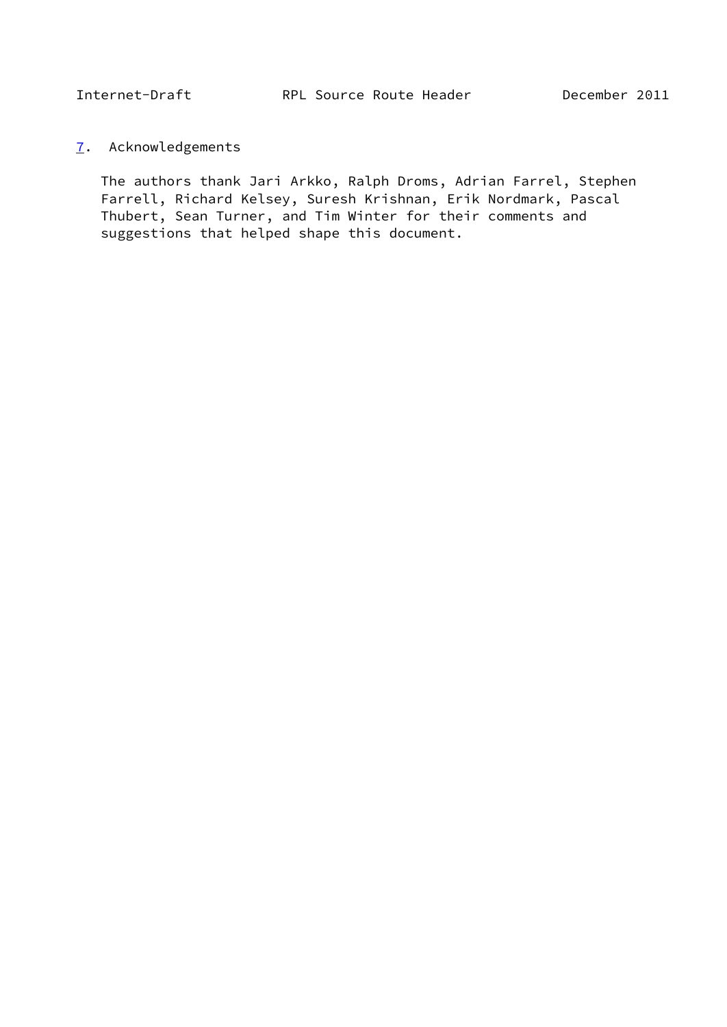# <span id="page-17-1"></span><span id="page-17-0"></span>[7](#page-17-0). Acknowledgements

 The authors thank Jari Arkko, Ralph Droms, Adrian Farrel, Stephen Farrell, Richard Kelsey, Suresh Krishnan, Erik Nordmark, Pascal Thubert, Sean Turner, and Tim Winter for their comments and suggestions that helped shape this document.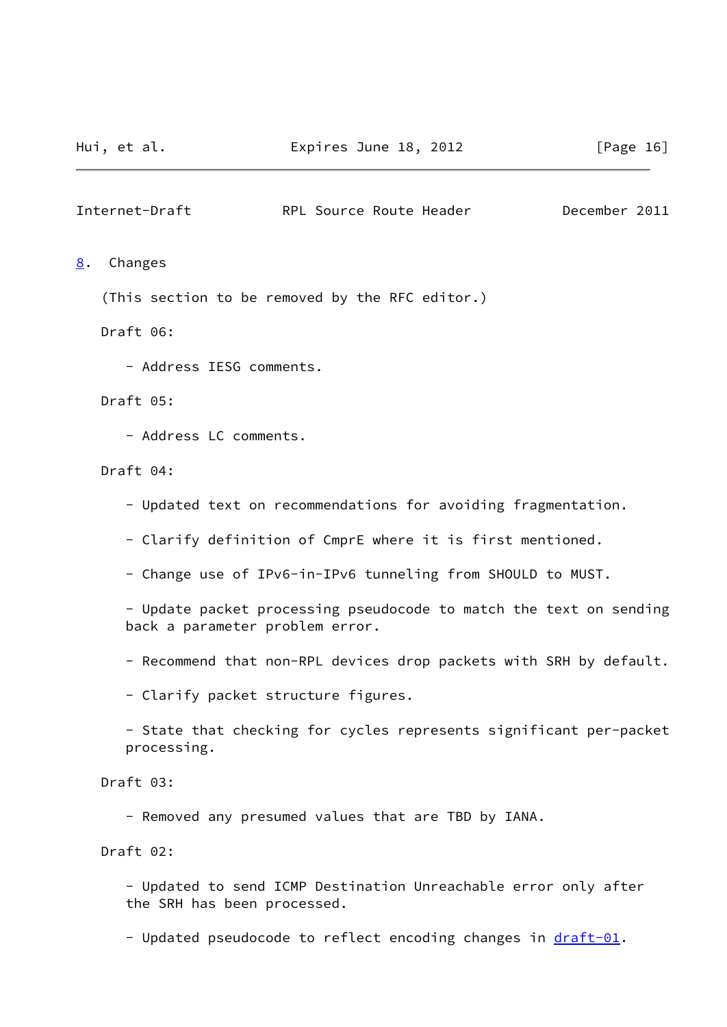<span id="page-18-1"></span><span id="page-18-0"></span>[8](#page-18-0). Changes

(This section to be removed by the RFC editor.)

Draft 06:

- Address IESG comments.

Draft 05:

- Address LC comments.

Draft 04:

- Updated text on recommendations for avoiding fragmentation.

- Clarify definition of CmprE where it is first mentioned.

- Change use of IPv6-in-IPv6 tunneling from SHOULD to MUST.

 - Update packet processing pseudocode to match the text on sending back a parameter problem error.

- Recommend that non-RPL devices drop packets with SRH by default.

- Clarify packet structure figures.

 - State that checking for cycles represents significant per-packet processing.

Draft 03:

- Removed any presumed values that are TBD by IANA.

Draft 02:

 - Updated to send ICMP Destination Unreachable error only after the SRH has been processed.

- Updated pseudocode to reflect encoding changes in [draft-01.](https://datatracker.ietf.org/doc/pdf/draft-01)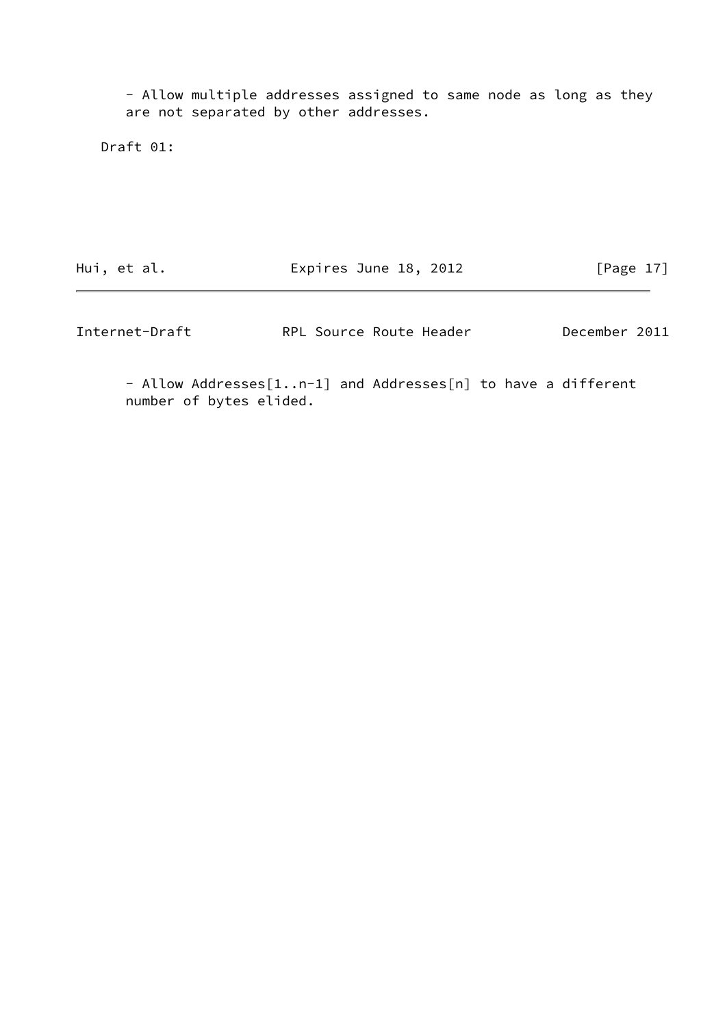- Allow multiple addresses assigned to same node as long as they are not separated by other addresses.

Draft 01:

Hui, et al. **Expires June 18, 2012** [Page 17]

Internet-Draft RPL Source Route Header December 2011

 - Allow Addresses[1..n-1] and Addresses[n] to have a different number of bytes elided.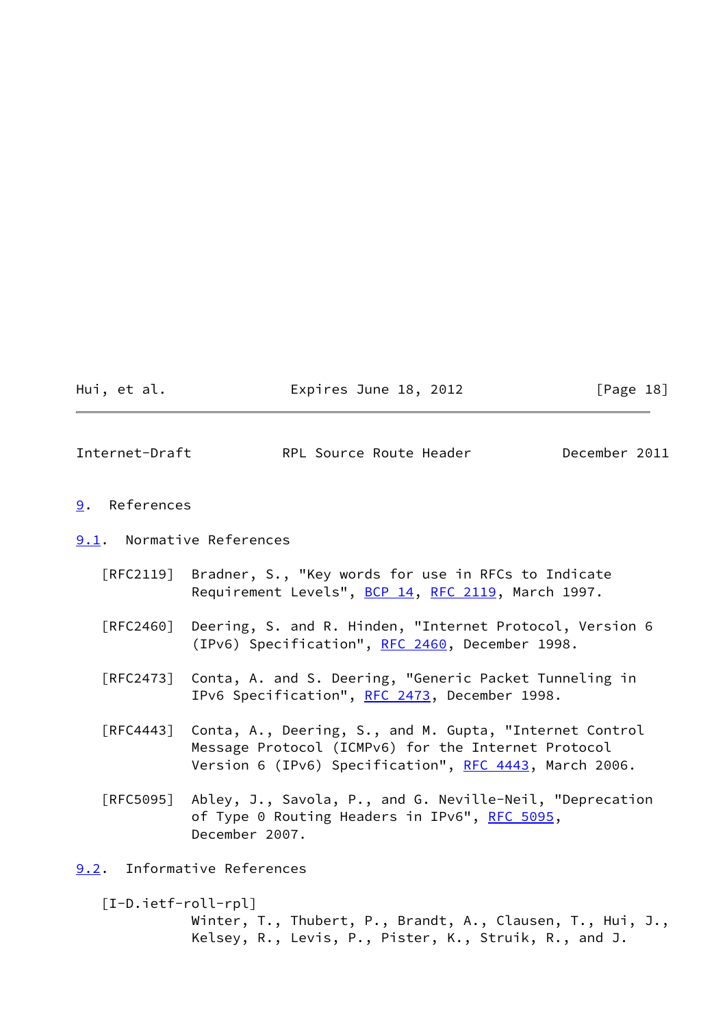| Hui, |  | et al. |  |
|------|--|--------|--|
|      |  |        |  |

Expires June 18, 2012  $[Page 18]$ 

<span id="page-20-1"></span>Internet-Draft RPL Source Route Header December 2011

- <span id="page-20-0"></span>[9](#page-20-0). References
- <span id="page-20-2"></span>[9.1](#page-20-2). Normative References
	- [RFC2119] Bradner, S., "Key words for use in RFCs to Indicate Requirement Levels", [BCP 14](https://datatracker.ietf.org/doc/pdf/bcp14), [RFC 2119](https://datatracker.ietf.org/doc/pdf/rfc2119), March 1997.
	- [RFC2460] Deering, S. and R. Hinden, "Internet Protocol, Version 6 (IPv6) Specification", [RFC 2460](https://datatracker.ietf.org/doc/pdf/rfc2460), December 1998.
	- [RFC2473] Conta, A. and S. Deering, "Generic Packet Tunneling in IPv6 Specification", [RFC 2473](https://datatracker.ietf.org/doc/pdf/rfc2473), December 1998.
	- [RFC4443] Conta, A., Deering, S., and M. Gupta, "Internet Control Message Protocol (ICMPv6) for the Internet Protocol Version 6 (IPv6) Specification", [RFC 4443,](https://datatracker.ietf.org/doc/pdf/rfc4443) March 2006.
	- [RFC5095] Abley, J., Savola, P., and G. Neville-Neil, "Deprecation of Type 0 Routing Headers in IPv6", [RFC 5095,](https://datatracker.ietf.org/doc/pdf/rfc5095) December 2007.

<span id="page-20-3"></span>[9.2](#page-20-3). Informative References

<span id="page-20-4"></span> [I-D.ietf-roll-rpl] Winter, T., Thubert, P., Brandt, A., Clausen, T., Hui, J., Kelsey, R., Levis, P., Pister, K., Struik, R., and J.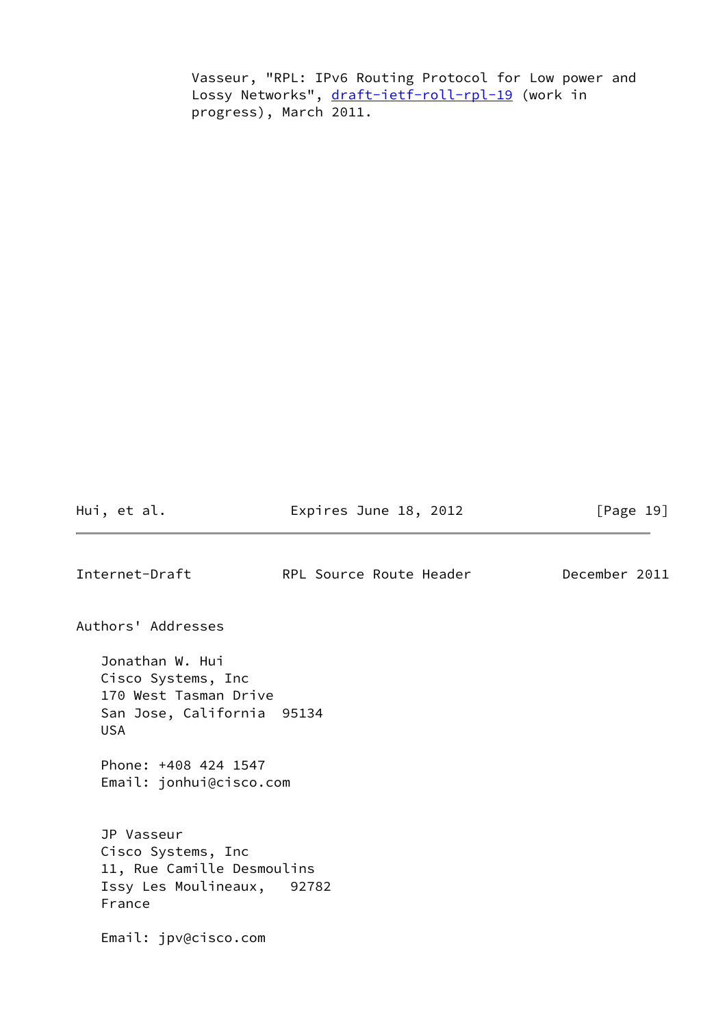Vasseur, "RPL: IPv6 Routing Protocol for Low power and Lossy Networks", [draft-ietf-roll-rpl-19](https://datatracker.ietf.org/doc/pdf/draft-ietf-roll-rpl-19) (work in progress), March 2011.

Hui, et al. **Expires June 18, 2012** [Page 19]

<span id="page-21-0"></span>Internet-Draft RPL Source Route Header December 2011

Authors' Addresses

 Jonathan W. Hui Cisco Systems, Inc 170 West Tasman Drive San Jose, California 95134 USA

 Phone: +408 424 1547 Email: jonhui@cisco.com

 JP Vasseur Cisco Systems, Inc 11, Rue Camille Desmoulins Issy Les Moulineaux, 92782 France

Email: jpv@cisco.com